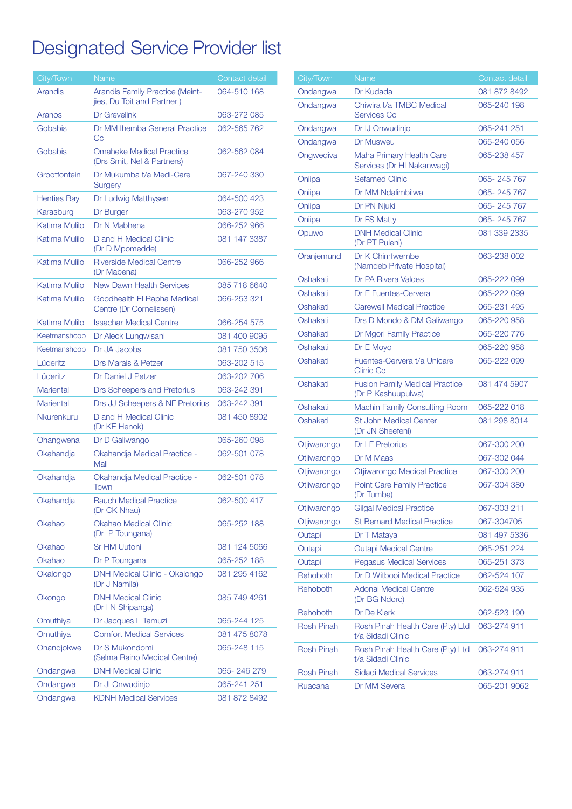## Designated Service Provider list

| City/Town          | Name                                                          | Contact detail |
|--------------------|---------------------------------------------------------------|----------------|
| Arandis            | Arandis Family Practice (Meint-<br>jies, Du Toit and Partner) | 064-510 168    |
| Aranos             | Dr Grevelink                                                  | 063-272 085    |
| Gobabis            | Dr MM Ihemba General Practice<br>Cс                           | 062-565 762    |
| Gobabis            | <b>Omaheke Medical Practice</b><br>(Drs Smit, Nel & Partners) | 062-562 084    |
| Grootfontein       | Dr Mukumba t/a Medi-Care<br><b>Surgery</b>                    | 067-240 330    |
| <b>Henties Bay</b> | Dr Ludwig Matthysen                                           | 064-500 423    |
| Karasburg          | Dr Burger                                                     | 063-270 952    |
| Katima Mulilo      | Dr N Mabhena                                                  | 066-252 966    |
| Katima Mulilo      | D and H Medical Clinic<br>(Dr D Mpomedde)                     | 081 147 3387   |
| Katima Mulilo      | <b>Riverside Medical Centre</b><br>(Dr Mabena)                | 066-252 966    |
| Katima Mulilo      | <b>New Dawn Health Services</b>                               | 085 718 6640   |
| Katima Mulilo      | Goodhealth El Rapha Medical<br>Centre (Dr Cornelissen)        | 066-253 321    |
| Katima Mulilo      | <b>Issachar Medical Centre</b>                                | 066-254 575    |
| Keetmanshoop       | Dr Aleck Lungwisani                                           | 081 400 9095   |
| Keetmanshoop       | Dr JA Jacobs                                                  | 081 750 3506   |
| Lüderitz           | <b>Drs Marais &amp; Petzer</b>                                | 063-202 515    |
| Lüderitz           | Dr Daniel J Petzer                                            | 063-202 706    |
| Mariental          | Drs Scheepers and Pretorius                                   | 063-242 391    |
| <b>Mariental</b>   | Drs JJ Scheepers & NF Pretorius                               | 063-242 391    |
| <b>Nkurenkuru</b>  | D and H Medical Clinic<br>(Dr KE Henok)                       | 081 450 8902   |
| Ohangwena          | Dr D Galiwango                                                | 065-260 098    |
| Okahandja          | Okahandja Medical Practice -<br>Mall                          | 062-501 078    |
| Okahandja          | Okahandja Medical Practice -<br>Town                          | 062-501 078    |
| Okahandja          | <b>Rauch Medical Practice</b><br>(Dr CK Nhau)                 | 062-500 417    |
| Okahao             | <b>Okahao Medical Clinic</b><br>(Dr P Toungana)               | 065-252 188    |
| Okahao             | <b>Sr HM Uutoni</b>                                           | 081 124 5066   |
| Okahao             | Dr P Toungana                                                 | 065-252 188    |
| Okalongo           | DNH Medical Clinic - Okalongo<br>(Dr J Namila)                | 081 295 4162   |
| Okongo             | <b>DNH Medical Clinic</b><br>(Dr I N Shipanga)                | 085 749 4261   |
| Omuthiya           | Dr Jacques L Tamuzi                                           | 065-244 125    |
| Omuthiya           | <b>Comfort Medical Services</b>                               | 081 475 8078   |
| Onandjokwe         | Dr S Mukondomi<br>(Selma Raino Medical Centre)                | 065-248 115    |
| Ondangwa           | <b>DNH Medical Clinic</b>                                     | 065-246279     |
| Ondangwa           | Dr JI Onwudinjo                                               | 065-241 251    |
| Ondangwa           | <b>KDNH Medical Services</b>                                  | 081 872 8492   |

| City/Town         | <b>Name</b>                                                 | Contact detail |
|-------------------|-------------------------------------------------------------|----------------|
| Ondangwa          | Dr Kudada                                                   | 081 872 8492   |
| Ondangwa          | Chiwira t/a TMBC Medical<br><b>Services Cc</b>              | 065-240 198    |
| Ondangwa          | Dr IJ Onwudinjo                                             | 065-241 251    |
| Ondangwa          | Dr Musweu                                                   | 065-240 056    |
| Ongwediva         | Maha Primary Health Care<br>Services (Dr HI Nakanwagi)      | 065-238 457    |
| Oniipa            | <b>Sefamed Clinic</b>                                       | 065-245767     |
| Oniipa            | Dr MM Ndalimbilwa                                           | 065-245767     |
| Oniipa            | Dr PN Njuki                                                 | 065-245767     |
| Oniipa            | Dr FS Matty                                                 | 065-245767     |
| Opuwo             | <b>DNH Medical Clinic</b><br>(Dr PT Puleni)                 | 081 339 2335   |
| Oranjemund        | Dr K Chimfwembe<br>(Namdeb Private Hospital)                | 063-238 002    |
| Oshakati          | Dr PA Rivera Valdes                                         | 065-222 099    |
| Oshakati          | Dr E Fuentes-Cervera                                        | 065-222 099    |
| Oshakati          | <b>Carewell Medical Practice</b>                            | 065-231 495    |
| Oshakati          | Drs D Mondo & DM Galiwango                                  | 065-220 958    |
| Oshakati          | Dr Mgori Family Practice                                    | 065-220 776    |
| Oshakati          | Dr E Moyo                                                   | 065-220 958    |
| Oshakati          | Fuentes-Cervera t/a Unicare<br><b>Clinic Cc</b>             | 065-222 099    |
| Oshakati          | <b>Fusion Family Medical Practice</b><br>(Dr P Kashuupulwa) | 081 474 5907   |
| Oshakati          | Machin Family Consulting Room                               | 065-222 018    |
| Oshakati          | <b>St John Medical Center</b><br>(Dr JN Sheefeni)           | 081 298 8014   |
| Otjiwarongo       | <b>Dr LF Pretorius</b>                                      | 067-300 200    |
| Otjiwarongo       | Dr M Maas                                                   | 067-302 044    |
| Otjiwarongo       | Otjiwarongo Medical Practice                                | 067-300 200    |
| Otjiwarongo       | <b>Point Care Family Practice</b><br>(Dr Tumba)             | 067-304 380    |
| Otjiwarongo       | <b>Gilgal Medical Practice</b>                              | 067-303 211    |
| Otjiwarongo       | <b>St Bernard Medical Practice</b>                          | 067-304705     |
| Outapi            | Dr T Mataya                                                 | 081 497 5336   |
| Outapi            | <b>Outapi Medical Centre</b>                                | 065-251 224    |
| Outapi            | <b>Pegasus Medical Services</b>                             | 065-251 373    |
| Rehoboth          | Dr D Witbooi Medical Practice                               | 062-524 107    |
| Rehoboth          | Adonai Medical Centre<br>(Dr BG Ndoro)                      | 062-524 935    |
| Rehoboth          | Dr De Klerk                                                 | 062-523 190    |
| <b>Rosh Pinah</b> | Rosh Pinah Health Care (Pty) Ltd<br>t/a Sidadi Clinic       | 063-274 911    |
| <b>Rosh Pinah</b> | Rosh Pinah Health Care (Pty) Ltd<br>t/a Sidadi Clinic       | 063-274 911    |
| <b>Rosh Pinah</b> | <b>Sidadi Medical Services</b>                              | 063-274 911    |
| Ruacana           | Dr MM Severa                                                | 065-201 9062   |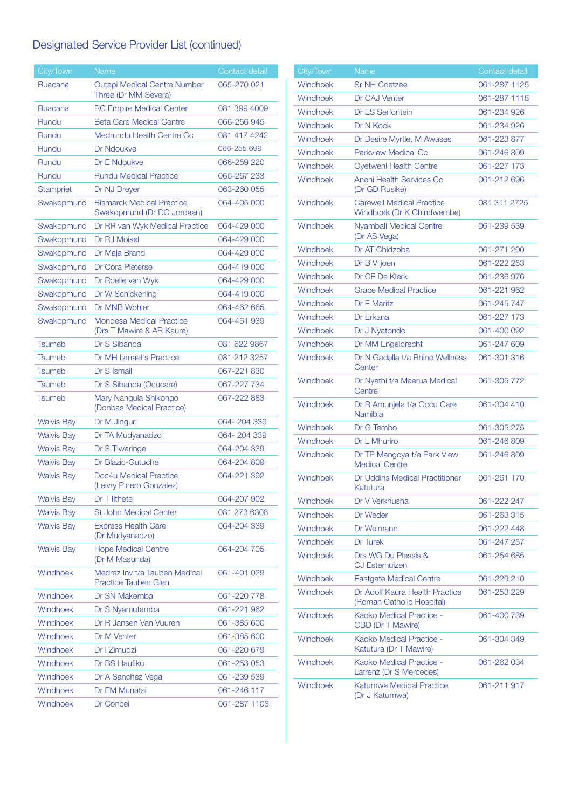## Designated Service Provider List (continued)

| City/Town         | <b>Name</b>                                                    | Contact detail |
|-------------------|----------------------------------------------------------------|----------------|
| Ruacana           | <b>Outapi Medical Centre Number</b><br>Three (Dr MM Severa)    | 065-270 021    |
| Ruacana           | <b>RC Empire Medical Center</b>                                | 081 399 4009   |
| Rundu             | <b>Beta Care Medical Centre</b>                                | 066-256 945    |
| Rundu             | Medrundu Health Centre Cc                                      | 081 417 4242   |
| Rundu             | Dr Ndoukve                                                     | 066-255 699    |
| Rundu             | Dr E Ndoukve                                                   | 066-259 220    |
| <b>Rundu</b>      | <b>Rundu Medical Practice</b>                                  | 066-267 233    |
| <b>Stampriet</b>  | Dr NJ Dreyer                                                   | 063-260 055    |
| Swakopmund        | <b>Bismarck Medical Practice</b><br>Swakopmund (Dr DC Jordaan) | 064-405 000    |
| Swakopmund        | Dr RR van Wyk Medical Practice                                 | 064-429 000    |
| Swakopmund        | Dr RJ Moisel                                                   | 064-429 000    |
| Swakopmund        | Dr Maja Brand                                                  | 064-429 000    |
| Swakopmund        | Dr Cora Pieterse                                               | 064-419 000    |
| Swakopmund        | Dr Roelie van Wyk                                              | 064-429 000    |
| Swakopmund        | Dr W Schickerling                                              | 064-419 000    |
| Swakopmund        | Dr MNB Wohler                                                  | 064-462 665    |
| Swakopmund        | <b>Mondesa Medical Practice</b><br>(Drs T Mawire & AR Kaura)   | 064-461 939    |
| Tsumeb            | Dr S Sibanda                                                   | 081 622 9867   |
| Tsumeb            | Dr MH Ismael's Practice                                        | 081 212 3257   |
| Tsumeb            | Dr S Ismail                                                    | 067-221 830    |
| <b>Tsumeb</b>     | Dr S Sibanda (Ocucare)                                         | 067-227 734    |
| <b>Tsumeb</b>     | Mary Nangula Shikongo<br>(Donbas Medical Practice)             | 067-222 883    |
| <b>Walvis Bay</b> | Dr M Jinguri                                                   | 064-204339     |
| <b>Walvis Bay</b> | Dr TA Mudyanadzo                                               | 064-204339     |
| <b>Walvis Bay</b> | Dr S Tiwaringe                                                 | 064-204 339    |
| <b>Walvis Bay</b> | Dr Blazic-Gutuche                                              | 064-204 809    |
| <b>Walvis Bay</b> | Doc4u Medical Practice<br>(Leivry Pinero Gonzalez)             | 064-221 392    |
| <b>Walvis Bay</b> | Dr T lithete                                                   | 064-207 902    |
| <b>Walvis Bay</b> | <b>St John Medical Center</b>                                  | 081 273 6308   |
| <b>Walvis Bay</b> | <b>Express Health Care</b><br>(Dr Mudyanadzo)                  | 064-204 339    |
| <b>Walvis Bay</b> | <b>Hope Medical Centre</b><br>(Dr M Masunda)                   | 064-204 705    |
| Windhoek          | Medrez Inv t/a Tauben Medical<br><b>Practice Tauben Glen</b>   | 061-401 029    |
| Windhoek          | Dr SN Makemba                                                  | 061-220 778    |
| Windhoek          | Dr S Nyamutamba                                                | 061-221 962    |
| Windhoek          | Dr R Jansen Van Vuuren                                         | 061-385 600    |
| Windhoek          | Dr M Venter                                                    | 061-385 600    |
| Windhoek          | Dr I Zimudzi                                                   | 061-220 679    |
| Windhoek          | Dr BS Haufiku                                                  | 061-253053     |
| Windhoek          | Dr A Sanchez Vega                                              | 061-239 539    |
| Windhoek          | Dr EM Munatsi                                                  | 061-246 117    |
| Windhoek          | Dr Concei                                                      | 061-287 1103   |

| City/Town | Name                                                           | Contact detail |
|-----------|----------------------------------------------------------------|----------------|
| Windhoek  | <b>Sr NH Coetzee</b>                                           | 061-287 1125   |
| Windhoek  | Dr CAJ Venter                                                  | 061-287 1118   |
| Windhoek  | <b>Dr ES Serfontein</b>                                        | 061-234 926    |
| Windhoek  | Dr N Kock                                                      | 061-234 926    |
| Windhoek  | Dr Desire Myrtle, M Awases                                     | 061-223 877    |
| Windhoek  | Parkview Medical Cc                                            | 061-246809     |
| Windhoek  | <b>Ovetweni Health Centre</b>                                  | 061-227 173    |
| Windhoek  | <b>Aneni Health Services Cc</b><br>(Dr GD Rusike)              | 061-212 696    |
| Windhoek  | <b>Carewell Medical Practice</b><br>Windhoek (Dr K Chimfwembe) | 081 311 2725   |
| Windhoek  | Nyambali Medical Centre<br>(Dr AS Vega)                        | 061-239 539    |
| Windhoek  | Dr AT Chidzoba                                                 | 061-271 200    |
| Windhoek  | Dr B Viljoen                                                   | 061-222 253    |
| Windhoek  | Dr CE De Klerk                                                 | 061-236 976    |
| Windhoek  | <b>Grace Medical Practice</b>                                  | 061-221 962    |
| Windhoek  | Dr E Maritz                                                    | 061-245 747    |
| Windhoek  | Dr Erkana                                                      | 061-227 173    |
| Windhoek  | Dr J Nyatondo                                                  | 061-400 092    |
| Windhoek  | Dr MM Engelbrecht                                              | 061-247 609    |
| Windhoek  | Dr N Gadalla t/a Rhino Wellness<br>Center                      | 061-301 316    |
| Windhoek  | Dr Nyathi t/a Maerua Medical<br>Centre                         | 061-305 772    |
| Windhoek  | Dr R Amunjela t/a Occu Care<br>Namibia                         | 061-304 410    |
| Windhoek  | Dr G Tembo                                                     | 061-305 275    |
| Windhoek  | Dr L Mhuriro                                                   | 061-246 809    |
| Windhoek  | Dr TP Mangoya t/a Park View<br><b>Medical Centre</b>           | 061-246 809    |
| Windhoek  | Dr Uddins Medical Practitioner<br>Katutura                     | 061-261 170    |
| Windhoek  | Dr V Verkhusha                                                 | 061-222 247    |
| Windhoek  | Dr Weder                                                       | 061-263 315    |
| Windhoek  | Dr Weimann                                                     | 061-222 448    |
| Windhoek  | Dr Turek                                                       | 061-247 257    |
| Windhoek  | Drs WG Du Plessis &<br><b>CJ Esterhuizen</b>                   | 061-254 685    |
| Windhoek  | <b>Eastgate Medical Centre</b>                                 | 061-229 210    |
| Windhoek  | Dr Adolf Kaura Health Practice<br>(Roman Catholic Hospital)    | 061-253 229    |
| Windhoek  | Kaoko Medical Practice -<br>CBD (Dr T Mawire)                  | 061-400 739    |
| Windhoek  | Kaoko Medical Practice -<br>Katutura (Dr T Mawire)             | 061-304 349    |
| Windhoek  | Kaoko Medical Practice -<br>Lafrenz (Dr S Mercedes)            | 061-262 034    |
| Windhoek  | Katumwa Medical Practice<br>(Dr J Katumwa)                     | 061-211 917    |